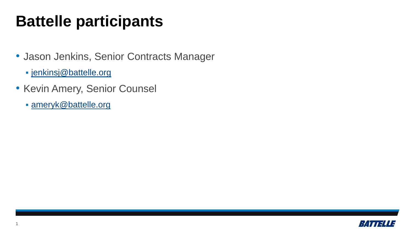## **Battelle participants**

- Jason Jenkins, Senior Contracts Manager
	- [jenkinsj@battelle.org](mailto:jenkinsj@battelle.org)
- Kevin Amery, Senior Counsel
	- [ameryk@battelle.org](mailto:ameryk@battelle.org)

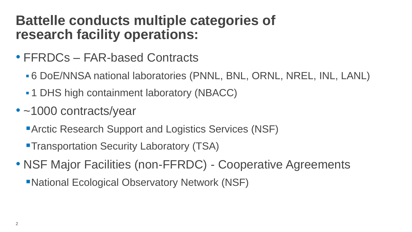## **Battelle conducts multiple categories of research facility operations:**

- FFRDCs FAR-based Contracts
	- 6 DoE/NNSA national laboratories (PNNL, BNL, ORNL, NREL, INL, LANL)
	- 1 DHS high containment laboratory (NBACC)
- ~1000 contracts/year
	- **Arctic Research Support and Logistics Services (NSF)**
	- **Transportation Security Laboratory (TSA)**
- NSF Major Facilities (non-FFRDC) Cooperative Agreements
	- ■National Ecological Observatory Network (NSF)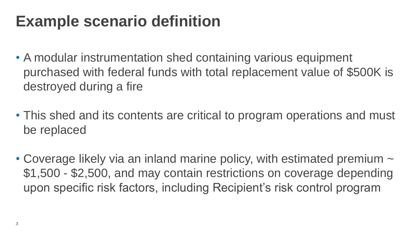## **Example scenario definition**

- A modular instrumentation shed containing various equipment purchased with federal funds with total replacement value of \$500K is destroyed during a fire
- This shed and its contents are critical to program operations and must be replaced
- Coverage likely via an inland marine policy, with estimated premium  $\sim$ \$1,500 - \$2,500, and may contain restrictions on coverage depending upon specific risk factors, including Recipient's risk control program